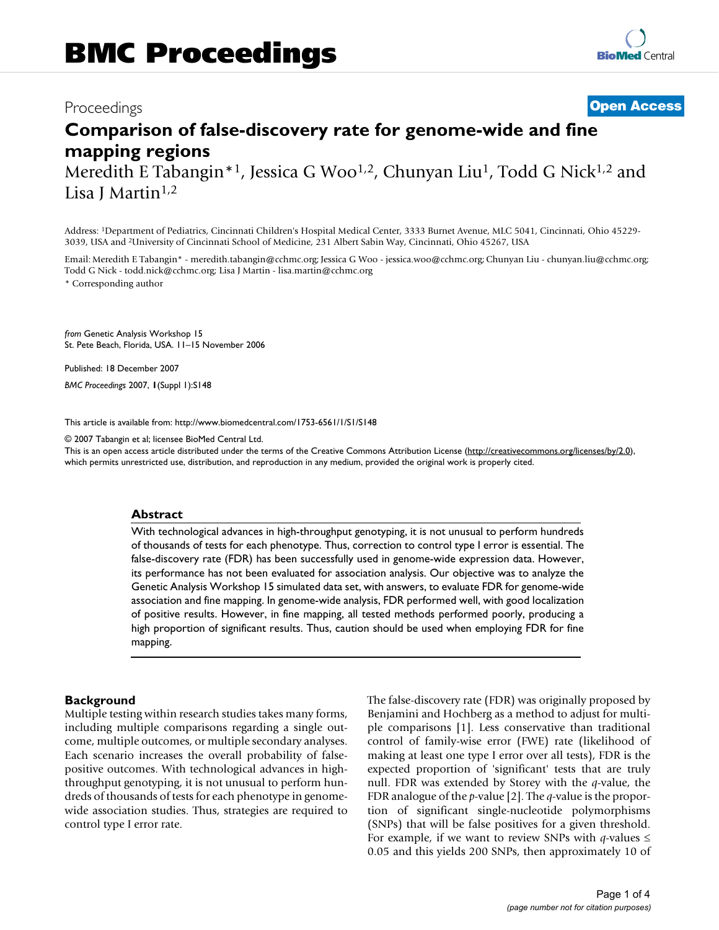# **Comparison of false-discovery rate for genome-wide and fine mapping regions**

Meredith E Tabangin<sup>\*1</sup>, Jessica G Woo<sup>1,2</sup>, Chunyan Liu<sup>1</sup>, Todd G Nick<sup>1,2</sup> and Lisa J Martin $1,2$ 

Address: 1Department of Pediatrics, Cincinnati Children's Hospital Medical Center, 3333 Burnet Avenue, MLC 5041, Cincinnati, Ohio 45229- 3039, USA and 2University of Cincinnati School of Medicine, 231 Albert Sabin Way, Cincinnati, Ohio 45267, USA

Email: Meredith E Tabangin\* - meredith.tabangin@cchmc.org; Jessica G Woo - jessica.woo@cchmc.org; Chunyan Liu - chunyan.liu@cchmc.org; Todd G Nick - todd.nick@cchmc.org; Lisa J Martin - lisa.martin@cchmc.org

\* Corresponding author

*from* Genetic Analysis Workshop 15 St. Pete Beach, Florida, USA. 11–15 November 2006

Published: 18 December 2007 *BMC Proceedings* 2007, **1**(Suppl 1):S148

[This article is available from: http://www.biomedcentral.com/1753-6561/1/S1/S148](http://www.biomedcentral.com/1753-6561/1/S1/S148)

© 2007 Tabangin et al; licensee BioMed Central Ltd.

This is an open access article distributed under the terms of the Creative Commons Attribution License [\(http://creativecommons.org/licenses/by/2.0\)](http://creativecommons.org/licenses/by/2.0), which permits unrestricted use, distribution, and reproduction in any medium, provided the original work is properly cited.

#### **Abstract**

With technological advances in high-throughput genotyping, it is not unusual to perform hundreds of thousands of tests for each phenotype. Thus, correction to control type I error is essential. The false-discovery rate (FDR) has been successfully used in genome-wide expression data. However, its performance has not been evaluated for association analysis. Our objective was to analyze the Genetic Analysis Workshop 15 simulated data set, with answers, to evaluate FDR for genome-wide association and fine mapping. In genome-wide analysis, FDR performed well, with good localization of positive results. However, in fine mapping, all tested methods performed poorly, producing a high proportion of significant results. Thus, caution should be used when employing FDR for fine mapping.

## **Background**

Multiple testing within research studies takes many forms, including multiple comparisons regarding a single outcome, multiple outcomes, or multiple secondary analyses. Each scenario increases the overall probability of falsepositive outcomes. With technological advances in highthroughput genotyping, it is not unusual to perform hundreds of thousands of tests for each phenotype in genomewide association studies. Thus, strategies are required to control type I error rate.

The false-discovery rate (FDR) was originally proposed by Benjamini and Hochberg as a method to adjust for multiple comparisons [1]. Less conservative than traditional control of family-wise error (FWE) rate (likelihood of making at least one type I error over all tests), FDR is the expected proportion of 'significant' tests that are truly null. FDR was extended by Storey with the *q*-value, the FDR analogue of the *p*-value [2]. The *q*-value is the proportion of significant single-nucleotide polymorphisms (SNPs) that will be false positives for a given threshold. For example, if we want to review SNPs with *q*-values  $\leq$ 0.05 and this yields 200 SNPs, then approximately 10 of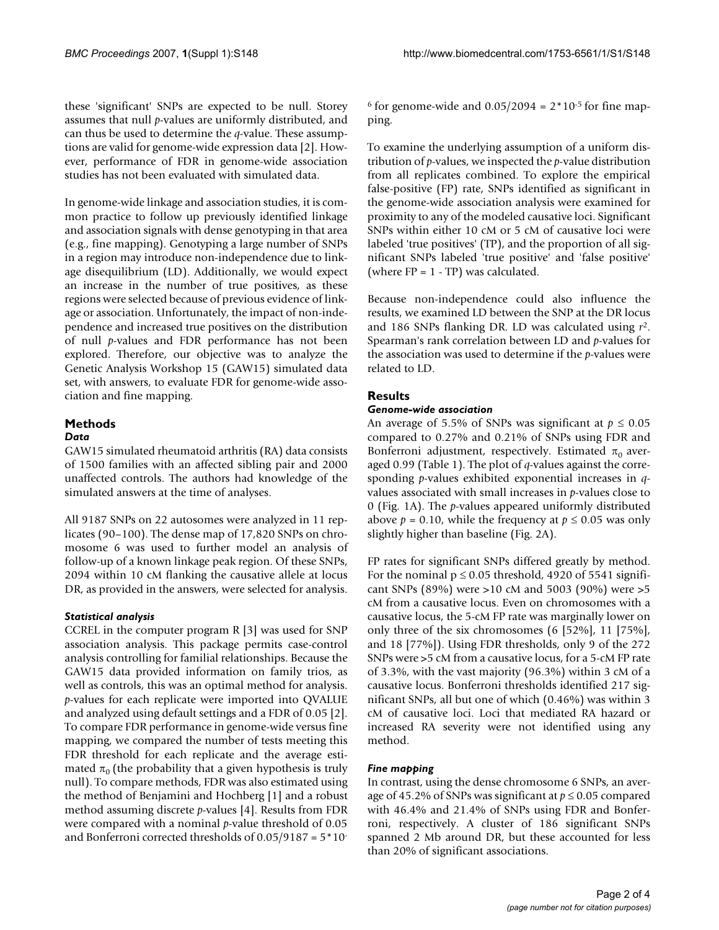these 'significant' SNPs are expected to be null. Storey assumes that null *p*-values are uniformly distributed, and can thus be used to determine the *q*-value. These assumptions are valid for genome-wide expression data [2]. However, performance of FDR in genome-wide association studies has not been evaluated with simulated data.

In genome-wide linkage and association studies, it is common practice to follow up previously identified linkage and association signals with dense genotyping in that area (e.g., fine mapping). Genotyping a large number of SNPs in a region may introduce non-independence due to linkage disequilibrium (LD). Additionally, we would expect an increase in the number of true positives, as these regions were selected because of previous evidence of linkage or association. Unfortunately, the impact of non-independence and increased true positives on the distribution of null *p*-values and FDR performance has not been explored. Therefore, our objective was to analyze the Genetic Analysis Workshop 15 (GAW15) simulated data set, with answers, to evaluate FDR for genome-wide association and fine mapping.

### **Methods** *Data*

GAW15 simulated rheumatoid arthritis (RA) data consists of 1500 families with an affected sibling pair and 2000 unaffected controls. The authors had knowledge of the simulated answers at the time of analyses.

All 9187 SNPs on 22 autosomes were analyzed in 11 replicates (90–100). The dense map of 17,820 SNPs on chromosome 6 was used to further model an analysis of follow-up of a known linkage peak region. Of these SNPs, 2094 within 10 cM flanking the causative allele at locus DR, as provided in the answers, were selected for analysis.

# *Statistical analysis*

CCREL in the computer program R [3] was used for SNP association analysis. This package permits case-control analysis controlling for familial relationships. Because the GAW15 data provided information on family trios, as well as controls, this was an optimal method for analysis. *p*-values for each replicate were imported into QVALUE and analyzed using default settings and a FDR of 0.05 [2]. To compare FDR performance in genome-wide versus fine mapping, we compared the number of tests meeting this FDR threshold for each replicate and the average estimated  $\pi_0$  (the probability that a given hypothesis is truly null). To compare methods, FDR was also estimated using the method of Benjamini and Hochberg [1] and a robust method assuming discrete *p*-values [4]. Results from FDR were compared with a nominal *p*-value threshold of 0.05 and Bonferroni corrected thresholds of 0.05/9187 = 5\*10<sup>6</sup> for genome-wide and  $0.05/2094 = 2*10<sup>-5</sup>$  for fine mapping.

To examine the underlying assumption of a uniform distribution of *p*-values, we inspected the *p*-value distribution from all replicates combined. To explore the empirical false-positive (FP) rate, SNPs identified as significant in the genome-wide association analysis were examined for proximity to any of the modeled causative loci. Significant SNPs within either 10 cM or 5 cM of causative loci were labeled 'true positives' (TP), and the proportion of all significant SNPs labeled 'true positive' and 'false positive' (where  $FP = 1 - TP$ ) was calculated.

Because non-independence could also influence the results, we examined LD between the SNP at the DR locus and 186 SNPs flanking DR. LD was calculated using *r*2. Spearman's rank correlation between LD and *p*-values for the association was used to determine if the *p*-values were related to LD.

# **Results**

## *Genome-wide association*

An average of 5.5% of SNPs was significant at  $p \le 0.05$ compared to 0.27% and 0.21% of SNPs using FDR and Bonferroni adjustment, respectively. Estimated  $\pi_0$  averaged 0.99 (Table 1). The plot of *q*-values against the corresponding *p*-values exhibited exponential increases in *q*values associated with small increases in *p*-values close to 0 (Fig. 1A). The *p*-values appeared uniformly distributed above  $p = 0.10$ , while the frequency at  $p \le 0.05$  was only slightly higher than baseline (Fig. 2A).

FP rates for significant SNPs differed greatly by method. For the nominal  $p \le 0.05$  threshold, 4920 of 5541 significant SNPs (89%) were >10 cM and 5003 (90%) were >5 cM from a causative locus. Even on chromosomes with a causative locus, the 5-cM FP rate was marginally lower on only three of the six chromosomes (6 [52%], 11 [75%], and 18 [77%]). Using FDR thresholds, only 9 of the 272 SNPs were >5 cM from a causative locus, for a 5-cM FP rate of 3.3%, with the vast majority (96.3%) within 3 cM of a causative locus. Bonferroni thresholds identified 217 significant SNPs, all but one of which (0.46%) was within 3 cM of causative loci. Loci that mediated RA hazard or increased RA severity were not identified using any method.

# *Fine mapping*

In contrast, using the dense chromosome 6 SNPs, an average of 45.2% of SNPs was significant at *p* ≤ 0.05 compared with 46.4% and 21.4% of SNPs using FDR and Bonferroni, respectively. A cluster of 186 significant SNPs spanned 2 Mb around DR, but these accounted for less than 20% of significant associations.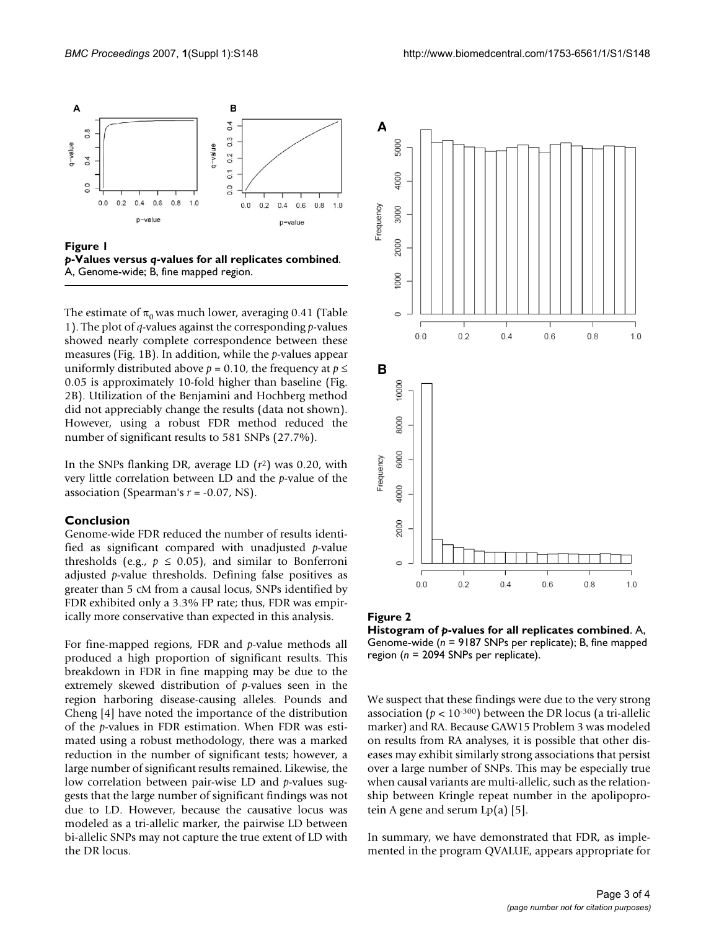

**Figure 1** *p***-Values versus** *q***-values for all replicates combined**. A, Genome-wide; B, fine mapped region.

The estimate of  $\pi_0$  was much lower, averaging 0.41 (Table 1). The plot of *q*-values against the corresponding *p*-values showed nearly complete correspondence between these measures (Fig. 1B). In addition, while the *p*-values appear uniformly distributed above  $p = 0.10$ , the frequency at  $p \leq$ 0.05 is approximately 10-fold higher than baseline (Fig. 2B). Utilization of the Benjamini and Hochberg method did not appreciably change the results (data not shown). However, using a robust FDR method reduced the number of significant results to 581 SNPs (27.7%).

In the SNPs flanking DR, average LD (*r*2) was 0.20, with very little correlation between LD and the *p*-value of the association (Spearman's *r* = -0.07, NS).

#### **Conclusion**

Genome-wide FDR reduced the number of results identified as significant compared with unadjusted *p*-value thresholds (e.g.,  $p \le 0.05$ ), and similar to Bonferroni adjusted *p*-value thresholds. Defining false positives as greater than 5 cM from a causal locus, SNPs identified by FDR exhibited only a 3.3% FP rate; thus, FDR was empirically more conservative than expected in this analysis.

For fine-mapped regions, FDR and *p*-value methods all produced a high proportion of significant results. This breakdown in FDR in fine mapping may be due to the extremely skewed distribution of *p*-values seen in the region harboring disease-causing alleles. Pounds and Cheng [4] have noted the importance of the distribution of the *p*-values in FDR estimation. When FDR was estimated using a robust methodology, there was a marked reduction in the number of significant tests; however, a large number of significant results remained. Likewise, the low correlation between pair-wise LD and *p*-values suggests that the large number of significant findings was not due to LD. However, because the causative locus was modeled as a tri-allelic marker, the pairwise LD between bi-allelic SNPs may not capture the true extent of LD with the DR locus.



**Figure 2 Histogram of** *p***-values for all replicates combined**. A, Genome-wide (*n* = 9187 SNPs per replicate); B, fine mapped region (*n* = 2094 SNPs per replicate).

We suspect that these findings were due to the very strong association ( $p < 10^{-300}$ ) between the DR locus (a tri-allelic marker) and RA. Because GAW15 Problem 3 was modeled on results from RA analyses, it is possible that other diseases may exhibit similarly strong associations that persist over a large number of SNPs. This may be especially true when causal variants are multi-allelic, such as the relationship between Kringle repeat number in the apolipoprotein A gene and serum  $Lp(a)$  [5].

In summary, we have demonstrated that FDR, as implemented in the program QVALUE, appears appropriate for